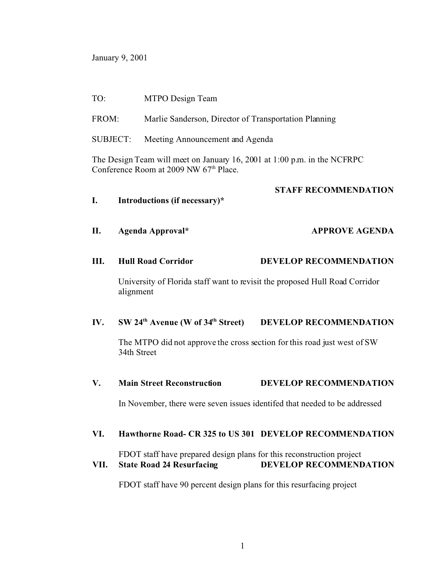January 9, 2001

## TO: MTPO Design Team

- FROM: Marlie Sanderson, Director of Transportation Planning
- SUBJECT: Meeting Announcement and Agenda

The Design Team will meet on January 16, 2001 at 1:00 p.m. in the NCFRPC Conference Room at 2009 NW 67<sup>th</sup> Place.

## **STAFF RECOMMENDATION**

**I. Introductions (if necessary)\* II. Agenda Approval\* APPROVE AGENDA III. Hull Road Corridor DEVELOP RECOMMENDATION** University of Florida staff want to revisit the proposed Hull Road Corridor alignment **IV. SW 24th Avenue (W of 34th Street) DEVELOP RECOMMENDATION** The MTPO did not approve the cross section for this road just west of SW 34th Street **V. Main Street Reconstruction DEVELOP RECOMMENDATION** In November, there were seven issues identifed that needed to be addressed **VI. Hawthorne Road- CR 325 to US 301 DEVELOP RECOMMENDATION** FDOT staff have prepared design plans for this reconstruction project **VII. State Road 24 Resurfacing DEVELOP RECOMMENDATION** FDOT staff have 90 percent design plans for this resurfacing project